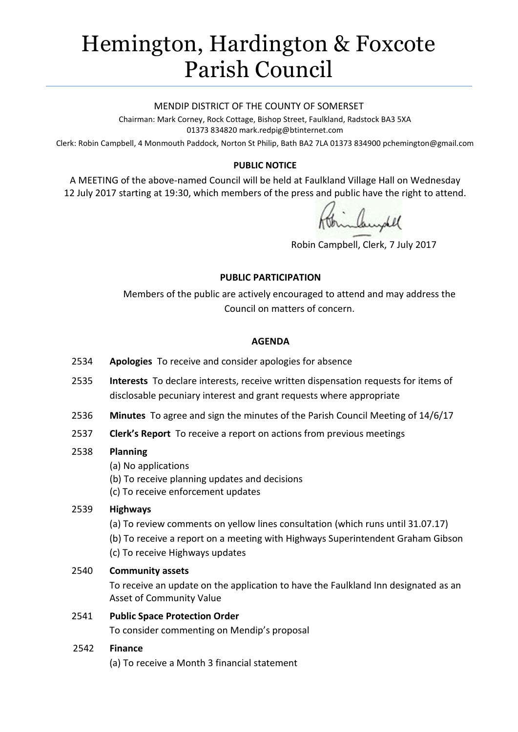# Hemington, Hardington & Foxcote Parish Council

#### MENDIP DISTRICT OF THE COUNTY OF SOMERSET

Chairman: Mark Corney, Rock Cottage, Bishop Street, Faulkland, Radstock BA3 5XA 01373 834820 mark.redpig@btinternet.com

Clerk: Robin Campbell, 4 Monmouth Paddock, Norton St Philip, Bath BA2 7LA 01373 834900 [pchemington@gmail.com](mailto:pchemington@gmail.com)

## **PUBLIC NOTICE**

A MEETING of the above-named Council will be held at Faulkland Village Hall on Wednesday 12 July 2017 starting at 19:30, which members of the press and public have the right to attend.

Robin Campbell, Clerk, 7 July 2017

#### **PUBLIC PARTICIPATION**

Members of the public are actively encouraged to attend and may address the Council on matters of concern.

#### **AGENDA**

- 2534 **Apologies** To receive and consider apologies for absence
- 2535 **Interests** To declare interests, receive written dispensation requests for items of disclosable pecuniary interest and grant requests where appropriate
- 2536 **Minutes** To agree and sign the minutes of the Parish Council Meeting of 14/6/17
- 2537 **Clerk's Report** To receive a report on actions from previous meetings

## 2538 **Planning**

- (a) No applications
- (b) To receive planning updates and decisions
- (c) To receive enforcement updates

## 2539 **Highways**

- (a) To review comments on yellow lines consultation (which runs until 31.07.17)
- (b) To receive a report on a meeting with Highways Superintendent Graham Gibson
- (c) To receive Highways updates

## 2540 **Community assets**

To receive an update on the application to have the Faulkland Inn designated as an Asset of Community Value

2541 **Public Space Protection Order**

To consider commenting on Mendip's proposal

## 2542 **Finance**

(a) To receive a Month 3 financial statement